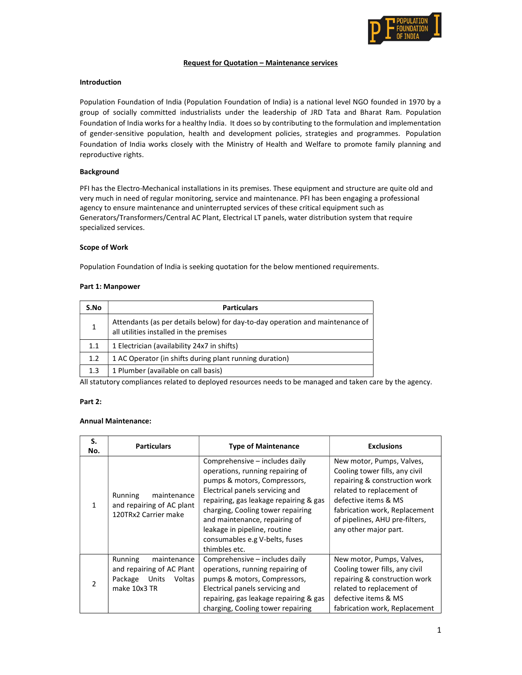

### Request for Quotation – Maintenance services

### Introduction

Population Foundation of India (Population Foundation of India) is a national level NGO founded in 1970 by a group of socially committed industrialists under the leadership of JRD Tata and Bharat Ram. Population Foundation of India works for a healthy India. It does so by contributing to the formulation and implementation of gender-sensitive population, health and development policies, strategies and programmes. Population Foundation of India works closely with the Ministry of Health and Welfare to promote family planning and reproductive rights.

## Background

PFI has the Electro-Mechanical installations in its premises. These equipment and structure are quite old and very much in need of regular monitoring, service and maintenance. PFI has been engaging a professional agency to ensure maintenance and uninterrupted services of these critical equipment such as Generators/Transformers/Central AC Plant, Electrical LT panels, water distribution system that require specialized services.

### Scope of Work

Population Foundation of India is seeking quotation for the below mentioned requirements.

### Part 1: Manpower

| S.No | <b>Particulars</b>                                                                                                       |  |  |
|------|--------------------------------------------------------------------------------------------------------------------------|--|--|
|      | Attendants (as per details below) for day-to-day operation and maintenance of<br>all utilities installed in the premises |  |  |
| 1.1  | 1 Electrician (availability 24x7 in shifts)                                                                              |  |  |
| 1.2  | 1 AC Operator (in shifts during plant running duration)                                                                  |  |  |
| 1.3  | 1 Plumber (available on call basis)                                                                                      |  |  |

All statutory compliances related to deployed resources needs to be managed and taken care by the agency.

## Part 2:

### Annual Maintenance:

| S.<br>No.     | <b>Particulars</b>                                                                                | <b>Type of Maintenance</b>                                                                                                                                                                                                                                                                                                               | <b>Exclusions</b>                                                                                                                                                                                                                             |
|---------------|---------------------------------------------------------------------------------------------------|------------------------------------------------------------------------------------------------------------------------------------------------------------------------------------------------------------------------------------------------------------------------------------------------------------------------------------------|-----------------------------------------------------------------------------------------------------------------------------------------------------------------------------------------------------------------------------------------------|
|               | maintenance<br>Running<br>and repairing of AC plant<br>120TRx2 Carrier make                       | Comprehensive – includes daily<br>operations, running repairing of<br>pumps & motors, Compressors,<br>Electrical panels servicing and<br>repairing, gas leakage repairing & gas<br>charging, Cooling tower repairing<br>and maintenance, repairing of<br>leakage in pipeline, routine<br>consumables e.g V-belts, fuses<br>thimbles etc. | New motor, Pumps, Valves,<br>Cooling tower fills, any civil<br>repairing & construction work<br>related to replacement of<br>defective items & MS<br>fabrication work, Replacement<br>of pipelines, AHU pre-filters,<br>any other major part. |
| $\mathcal{P}$ | Running<br>maintenance<br>and repairing of AC Plant<br>Units<br>Package<br>Voltas<br>make 10x3 TR | Comprehensive – includes daily<br>operations, running repairing of<br>pumps & motors, Compressors,<br>Electrical panels servicing and<br>repairing, gas leakage repairing & gas<br>charging, Cooling tower repairing                                                                                                                     | New motor, Pumps, Valves,<br>Cooling tower fills, any civil<br>repairing & construction work<br>related to replacement of<br>defective items & MS<br>fabrication work, Replacement                                                            |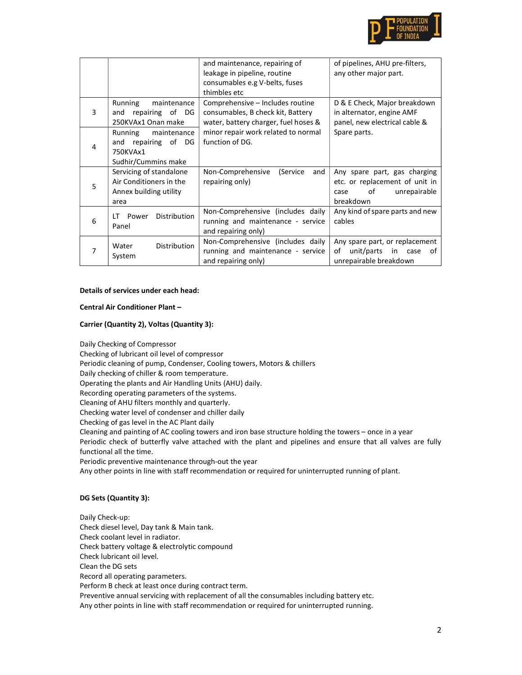

|   |                                                                                        | and maintenance, repairing of<br>leakage in pipeline, routine<br>consumables e.g V-belts, fuses<br>thimbles etc | of pipelines, AHU pre-filters,<br>any other major part.                                                   |
|---|----------------------------------------------------------------------------------------|-----------------------------------------------------------------------------------------------------------------|-----------------------------------------------------------------------------------------------------------|
| 3 | Running<br>maintenance<br>repairing of DG<br>and<br>250KVAx1 Onan make                 | Comprehensive - Includes routine<br>consumables, B check kit, Battery<br>water, battery charger, fuel hoses &   | D & E Check, Major breakdown<br>in alternator, engine AMF<br>panel, new electrical cable &                |
| 4 | Running<br>maintenance<br>repairing of<br>and<br>DG<br>750KVAx1<br>Sudhir/Cummins make | minor repair work related to normal<br>function of DG.                                                          | Spare parts.                                                                                              |
| 5 | Servicing of standalone<br>Air Conditioners in the<br>Annex building utility<br>area   | Non-Comprehensive<br>(Service<br>and<br>repairing only)                                                         | Any spare part, gas charging<br>etc. or replacement of unit in<br>of<br>unrepairable<br>case<br>breakdown |
| 6 | Distribution<br>Power<br>ΙT<br>Panel                                                   | Non-Comprehensive (includes daily<br>running and maintenance - service<br>and repairing only)                   | Any kind of spare parts and new<br>cables                                                                 |
|   | <b>Distribution</b><br>Water<br>System                                                 | Non-Comprehensive (includes daily<br>running and maintenance - service<br>and repairing only)                   | Any spare part, or replacement<br>unit/parts<br>of<br>in<br>case<br>of<br>unrepairable breakdown          |

# Details of services under each head:

### Central Air Conditioner Plant –

## Carrier (Quantity 2), Voltas (Quantity 3):

Daily Checking of Compressor Checking of lubricant oil level of compressor Periodic cleaning of pump, Condenser, Cooling towers, Motors & chillers Daily checking of chiller & room temperature. Operating the plants and Air Handling Units (AHU) daily. Recording operating parameters of the systems. Cleaning of AHU filters monthly and quarterly. Checking water level of condenser and chiller daily Checking of gas level in the AC Plant daily Cleaning and painting of AC cooling towers and iron base structure holding the towers – once in a year Periodic check of butterfly valve attached with the plant and pipelines and ensure that all valves are fully functional all the time. Periodic preventive maintenance through-out the year Any other points in line with staff recommendation or required for uninterrupted running of plant.

#### DG Sets (Quantity 3):

Daily Check-up: Check diesel level, Day tank & Main tank. Check coolant level in radiator. Check battery voltage & electrolytic compound Check lubricant oil level. Clean the DG sets Record all operating parameters. Perform B check at least once during contract term. Preventive annual servicing with replacement of all the consumables including battery etc. Any other points in line with staff recommendation or required for uninterrupted running.